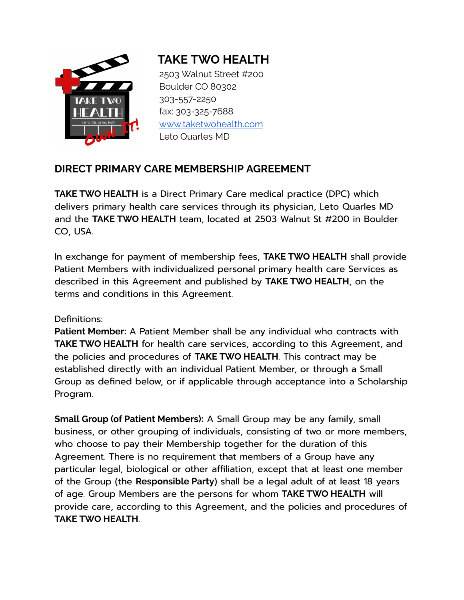

# **TAKE TWO HEALTH**

2503 Walnut Street #200 Boulder CO 80302 303-557-2250 fax: 303-325-7688 [www.taketwohealth.com](http://www.taketwohealth.com/) Leto Quarles MD

# **DIRECT PRIMARY CARE MEMBERSHIP AGREEMENT**

**TAKE TWO HEALTH** is a Direct Primary Care medical practice (DPC) which delivers primary health care services through its physician, Leto Quarles MD and the **TAKE TWO HEALTH** team, located at 2503 Walnut St #200 in Boulder CO, USA.

In exchange for payment of membership fees, **TAKE TWO HEALTH** shall provide Patient Members with individualized personal primary health care Services as described in this Agreement and published by **TAKE TWO HEALTH**, on the terms and conditions in this Agreement.

#### Definitions:

**Patient Member:** A Patient Member shall be any individual who contracts with **TAKE TWO HEALTH** for health care services, according to this Agreement, and the policies and procedures of **TAKE TWO HEALTH**. This contract may be established directly with an individual Patient Member, or through a Small Group as defined below, or if applicable through acceptance into a Scholarship Program.

**Small Group (of Patient Members):** A Small Group may be any family, small business, or other grouping of individuals, consisting of two or more members, who choose to pay their Membership together for the duration of this Agreement. There is no requirement that members of a Group have any particular legal, biological or other affiliation, except that at least one member of the Group (the **Responsible Party**) shall be a legal adult of at least 18 years of age. Group Members are the persons for whom **TAKE TWO HEALTH** will provide care, according to this Agreement, and the policies and procedures of **TAKE TWO HEALTH**.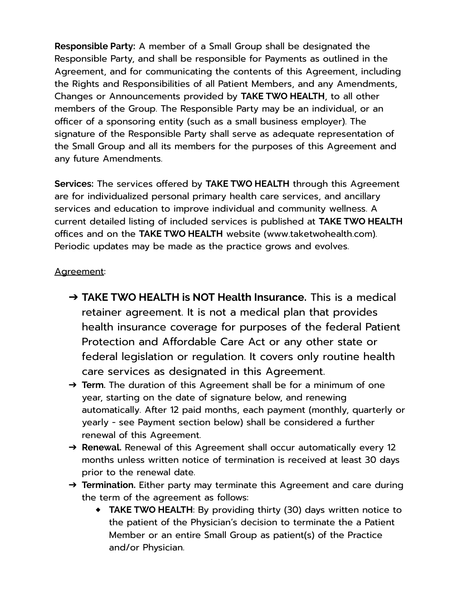**Responsible Party:** A member of a Small Group shall be designated the Responsible Party, and shall be responsible for Payments as outlined in the Agreement, and for communicating the contents of this Agreement, including the Rights and Responsibilities of all Patient Members, and any Amendments, Changes or Announcements provided by **TAKE TWO HEALTH**, to all other members of the Group. The Responsible Party may be an individual, or an officer of a sponsoring entity (such as a small business employer). The signature of the Responsible Party shall serve as adequate representation of the Small Group and all its members for the purposes of this Agreement and any future Amendments.

**Services:** The services offered by **TAKE TWO HEALTH** through this Agreement are for individualized personal primary health care services, and ancillary services and education to improve individual and community wellness. A current detailed listing of included services is published at **TAKE TWO HEALTH** offices and on the **TAKE TWO HEALTH** website (www.taketwohealth.com). Periodic updates may be made as the practice grows and evolves.

#### Agreement:

- ➔ **TAKE TWO HEALTH is NOT Health Insurance.** This is a medical retainer agreement. It is not a medical plan that provides health insurance coverage for purposes of the federal Patient Protection and Affordable Care Act or any other state or federal legislation or regulation. It covers only routine health care services as designated in this Agreement.
- ➔ **Term.** The duration of this Agreement shall be for a minimum of one year, starting on the date of signature below, and renewing automatically. After 12 paid months, each payment (monthly, quarterly or yearly - see Payment section below) shall be considered a further renewal of this Agreement.
- → **Renewal.** Renewal of this Agreement shall occur automatically every 12 months unless written notice of termination is received at least 30 days prior to the renewal date.
- → **Termination**. Either party may terminate this Agreement and care during the term of the agreement as follows:
	- ◆ **TAKE TWO HEALTH**: By providing thirty (30) days written notice to the patient of the Physician's decision to terminate the a Patient Member or an entire Small Group as patient(s) of the Practice and/or Physician.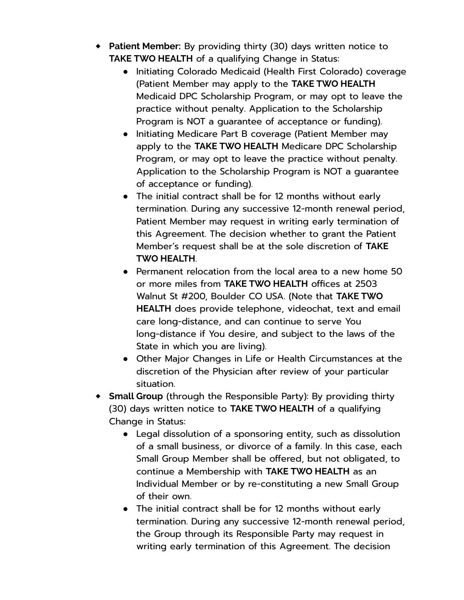- ◆ **Patient Member:** By providing thirty (30) days written notice to **TAKE TWO HEALTH** of a qualifying Change in Status:
	- Initiating Colorado Medicaid (Health First Colorado) coverage (Patient Member may apply to the **TAKE TWO HEALTH** Medicaid DPC Scholarship Program, or may opt to leave the practice without penalty. Application to the Scholarship Program is NOT a guarantee of acceptance or funding).
	- Initiating Medicare Part B coverage (Patient Member may apply to the **TAKE TWO HEALTH** Medicare DPC Scholarship Program, or may opt to leave the practice without penalty. Application to the Scholarship Program is NOT a guarantee of acceptance or funding).
	- The initial contract shall be for 12 months without early termination. During any successive 12-month renewal period, Patient Member may request in writing early termination of this Agreement. The decision whether to grant the Patient Member's request shall be at the sole discretion of **TAKE TWO HEALTH**.
	- Permanent relocation from the local area to a new home 50 or more miles from **TAKE TWO HEALTH** offices at 2503 Walnut St #200, Boulder CO USA. (Note that **TAKE TWO HEALTH** does provide telephone, videochat, text and email care long-distance, and can continue to serve You long-distance if You desire, and subject to the laws of the State in which you are living).
	- Other Major Changes in Life or Health Circumstances at the discretion of the Physician after review of your particular situation.
- ◆ **Small Group** (through the Responsible Party): By providing thirty (30) days written notice to **TAKE TWO HEALTH** of a qualifying Change in Status:
	- Legal dissolution of a sponsoring entity, such as dissolution of a small business, or divorce of a family. In this case, each Small Group Member shall be offered, but not obligated, to continue a Membership with **TAKE TWO HEALTH** as an Individual Member or by re-constituting a new Small Group of their own.
	- The initial contract shall be for 12 months without early termination. During any successive 12-month renewal period, the Group through its Responsible Party may request in writing early termination of this Agreement. The decision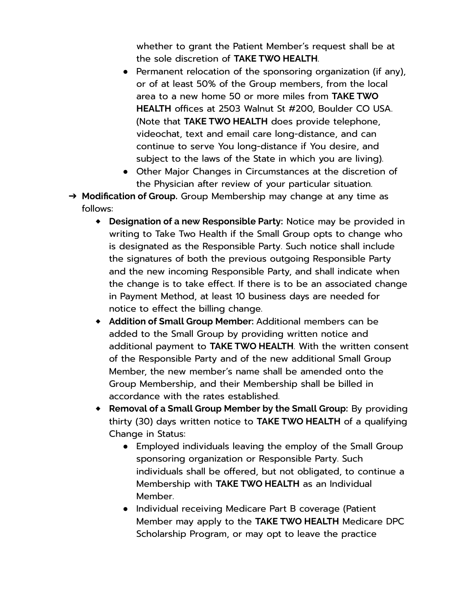whether to grant the Patient Member's request shall be at the sole discretion of **TAKE TWO HEALTH**.

- Permanent relocation of the sponsoring organization (if any), or of at least 50% of the Group members, from the local area to a new home 50 or more miles from **TAKE TWO HEALTH** offices at 2503 Walnut St #200, Boulder CO USA. (Note that **TAKE TWO HEALTH** does provide telephone, videochat, text and email care long-distance, and can continue to serve You long-distance if You desire, and subject to the laws of the State in which you are living).
- Other Major Changes in Circumstances at the discretion of the Physician after review of your particular situation.
- ➔ **Modification of Group.** Group Membership may change at any time as follows:
	- ◆ **Designation of a new Responsible Party:** Notice may be provided in writing to Take Two Health if the Small Group opts to change who is designated as the Responsible Party. Such notice shall include the signatures of both the previous outgoing Responsible Party and the new incoming Responsible Party, and shall indicate when the change is to take effect. If there is to be an associated change in Payment Method, at least 10 business days are needed for notice to effect the billing change.
	- ◆ **Addition of Small Group Member:** Additional members can be added to the Small Group by providing written notice and additional payment to **TAKE TWO HEALTH**. With the written consent of the Responsible Party and of the new additional Small Group Member, the new member's name shall be amended onto the Group Membership, and their Membership shall be billed in accordance with the rates established.
	- ◆ **Removal of a Small Group Member by the Small Group:** By providing thirty (30) days written notice to **TAKE TWO HEALTH** of a qualifying Change in Status:
		- Employed individuals leaving the employ of the Small Group sponsoring organization or Responsible Party. Such individuals shall be offered, but not obligated, to continue a Membership with **TAKE TWO HEALTH** as an Individual Member.
		- Individual receiving Medicare Part B coverage (Patient Member may apply to the **TAKE TWO HEALTH** Medicare DPC Scholarship Program, or may opt to leave the practice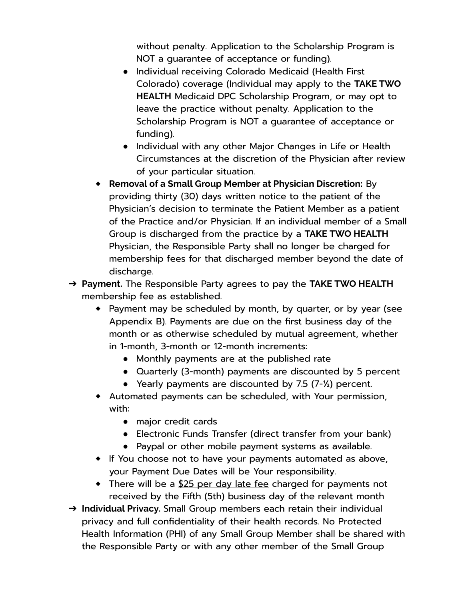without penalty. Application to the Scholarship Program is NOT a guarantee of acceptance or funding).

- Individual receiving Colorado Medicaid (Health First Colorado) coverage (Individual may apply to the **TAKE TWO HEALTH** Medicaid DPC Scholarship Program, or may opt to leave the practice without penalty. Application to the Scholarship Program is NOT a guarantee of acceptance or funding).
- Individual with any other Major Changes in Life or Health Circumstances at the discretion of the Physician after review of your particular situation.
- ◆ **Removal of a Small Group Member at Physician Discretion:** By providing thirty (30) days written notice to the patient of the Physician's decision to terminate the Patient Member as a patient of the Practice and/or Physician. If an individual member of a Small Group is discharged from the practice by a **TAKE TWO HEALTH** Physician, the Responsible Party shall no longer be charged for membership fees for that discharged member beyond the date of discharge.
- ➔ **Payment.** The Responsible Party agrees to pay the **TAKE TWO HEALTH** membership fee as established.
	- ◆ Payment may be scheduled by month, by quarter, or by year (see Appendix B). Payments are due on the first business day of the month or as otherwise scheduled by mutual agreement, whether in 1-month, 3-month or 12-month increments:
		- Monthly payments are at the published rate
		- Quarterly (3-month) payments are discounted by 5 percent
		- Yearly payments are discounted by 7**.**5 (7-½) percent.
	- ◆ Automated payments can be scheduled, with Your permission, with:
		- major credit cards
		- Electronic Funds Transfer (direct transfer from your bank)
		- Paypal or other mobile payment systems as available.
	- ◆ If You choose not to have your payments automated as above, your Payment Due Dates will be Your responsibility.
	- ◆ There will be a \$25 per day late fee charged for payments not received by the Fifth (5th) business day of the relevant month
- ➔ **Individual Privacy.** Small Group members each retain their individual privacy and full confidentiality of their health records. No Protected Health Information (PHI) of any Small Group Member shall be shared with the Responsible Party or with any other member of the Small Group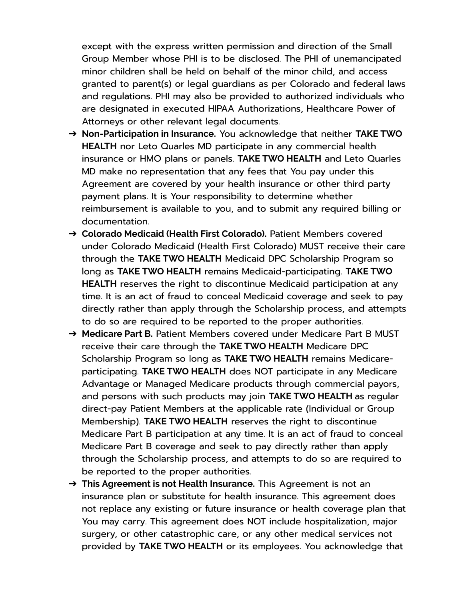except with the express written permission and direction of the Small Group Member whose PHI is to be disclosed. The PHI of unemancipated minor children shall be held on behalf of the minor child, and access granted to parent(s) or legal guardians as per Colorado and federal laws and regulations. PHI may also be provided to authorized individuals who are designated in executed HIPAA Authorizations, Healthcare Power of Attorneys or other relevant legal documents.

- ➔ **Non-Participation in Insurance.** You acknowledge that neither **TAKE TWO HEALTH** nor Leto Quarles MD participate in any commercial health insurance or HMO plans or panels. **TAKE TWO HEALTH** and Leto Quarles MD make no representation that any fees that You pay under this Agreement are covered by your health insurance or other third party payment plans. It is Your responsibility to determine whether reimbursement is available to you, and to submit any required billing or documentation.
- ➔ **Colorado Medicaid (Health First Colorado).** Patient Members covered under Colorado Medicaid (Health First Colorado) MUST receive their care through the **TAKE TWO HEALTH** Medicaid DPC Scholarship Program so long as **TAKE TWO HEALTH** remains Medicaid-participating. **TAKE TWO HEALTH** reserves the right to discontinue Medicaid participation at any time. It is an act of fraud to conceal Medicaid coverage and seek to pay directly rather than apply through the Scholarship process, and attempts to do so are required to be reported to the proper authorities.
- ➔ **Medicare Part B.** Patient Members covered under Medicare Part B MUST receive their care through the **TAKE TWO HEALTH** Medicare DPC Scholarship Program so long as **TAKE TWO HEALTH** remains Medicareparticipating. **TAKE TWO HEALTH** does NOT participate in any Medicare Advantage or Managed Medicare products through commercial payors, and persons with such products may join **TAKE TWO HEALTH** as regular direct-pay Patient Members at the applicable rate (Individual or Group Membership). **TAKE TWO HEALTH** reserves the right to discontinue Medicare Part B participation at any time. It is an act of fraud to conceal Medicare Part B coverage and seek to pay directly rather than apply through the Scholarship process, and attempts to do so are required to be reported to the proper authorities.
- ➔ **This Agreement is not Health Insurance.** This Agreement is not an insurance plan or substitute for health insurance. This agreement does not replace any existing or future insurance or health coverage plan that You may carry. This agreement does NOT include hospitalization, major surgery, or other catastrophic care, or any other medical services not provided by **TAKE TWO HEALTH** or its employees. You acknowledge that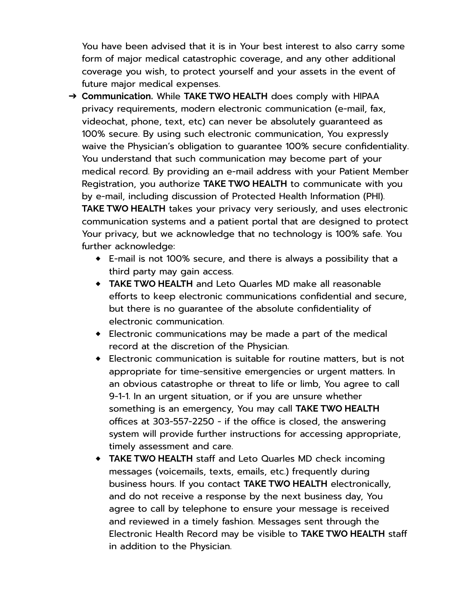You have been advised that it is in Your best interest to also carry some form of major medical catastrophic coverage, and any other additional coverage you wish, to protect yourself and your assets in the event of future major medical expenses.

- ➔ **Communication.** While **TAKE TWO HEALTH** does comply with HIPAA privacy requirements, modern electronic communication (e-mail, fax, videochat, phone, text, etc) can never be absolutely guaranteed as 100% secure. By using such electronic communication, You expressly waive the Physician's obligation to guarantee 100% secure confidentiality. You understand that such communication may become part of your medical record. By providing an e-mail address with your Patient Member Registration, you authorize **TAKE TWO HEALTH** to communicate with you by e-mail, including discussion of Protected Health Information (PHI). **TAKE TWO HEALTH** takes your privacy very seriously, and uses electronic communication systems and a patient portal that are designed to protect Your privacy, but we acknowledge that no technology is 100% safe. You further acknowledge:
	- ◆ E-mail is not 100% secure, and there is always a possibility that a third party may gain access.
	- ◆ **TAKE TWO HEALTH** and Leto Quarles MD make all reasonable efforts to keep electronic communications confidential and secure, but there is no guarantee of the absolute confidentiality of electronic communication.
	- ◆ Electronic communications may be made a part of the medical record at the discretion of the Physician.
	- ◆ Electronic communication is suitable for routine matters, but is not appropriate for time-sensitive emergencies or urgent matters. In an obvious catastrophe or threat to life or limb, You agree to call 9-1-1. In an urgent situation, or if you are unsure whether something is an emergency, You may call **TAKE TWO HEALTH** offices at 303-557-2250 - if the office is closed, the answering system will provide further instructions for accessing appropriate, timely assessment and care.
	- ◆ **TAKE TWO HEALTH** staff and Leto Quarles MD check incoming messages (voicemails, texts, emails, etc.) frequently during business hours. If you contact **TAKE TWO HEALTH** electronically, and do not receive a response by the next business day, You agree to call by telephone to ensure your message is received and reviewed in a timely fashion. Messages sent through the Electronic Health Record may be visible to **TAKE TWO HEALTH** staff in addition to the Physician.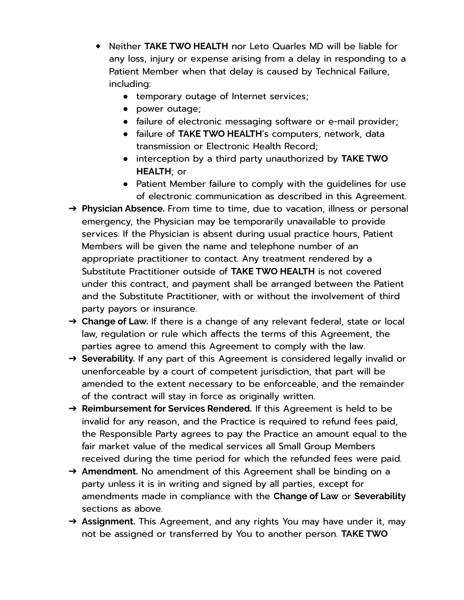- ◆ Neither **TAKE TWO HEALTH** nor Leto Quarles MD will be liable for any loss, injury or expense arising from a delay in responding to a Patient Member when that delay is caused by Technical Failure, including:
	- temporary outage of Internet services;
	- power outage;
	- failure of electronic messaging software or e-mail provider;
	- failure of **TAKE TWO HEALTH**'s computers, network, data transmission or Electronic Health Record;
	- interception by a third party unauthorized by **TAKE TWO HEALTH**; or
	- Patient Member failure to comply with the quidelines for use of electronic communication as described in this Agreement.
- ➔ **Physician Absence.** From time to time, due to vacation, illness or personal emergency, the Physician may be temporarily unavailable to provide services. If the Physician is absent during usual practice hours, Patient Members will be given the name and telephone number of an appropriate practitioner to contact. Any treatment rendered by a Substitute Practitioner outside of **TAKE TWO HEALTH** is not covered under this contract, and payment shall be arranged between the Patient and the Substitute Practitioner, with or without the involvement of third party payors or insurance.
- ➔ **Change of Law.** If there is a change of any relevant federal, state or local law, regulation or rule which affects the terms of this Agreement, the parties agree to amend this Agreement to comply with the law.
- ➔ **Severability.** If any part of this Agreement is considered legally invalid or unenforceable by a court of competent jurisdiction, that part will be amended to the extent necessary to be enforceable, and the remainder of the contract will stay in force as originally written.
- ➔ **Reimbursement for Services Rendered.** If this Agreement is held to be invalid for any reason, and the Practice is required to refund fees paid, the Responsible Party agrees to pay the Practice an amount equal to the fair market value of the medical services all Small Group Members received during the time period for which the refunded fees were paid.
- → Amendment. No amendment of this Agreement shall be binding on a party unless it is in writing and signed by all parties, except for amendments made in compliance with the **Change of Law** or **Severability** sections as above.
- ➔ **Assignment.** This Agreement, and any rights You may have under it, may not be assigned or transferred by You to another person. **TAKE TWO**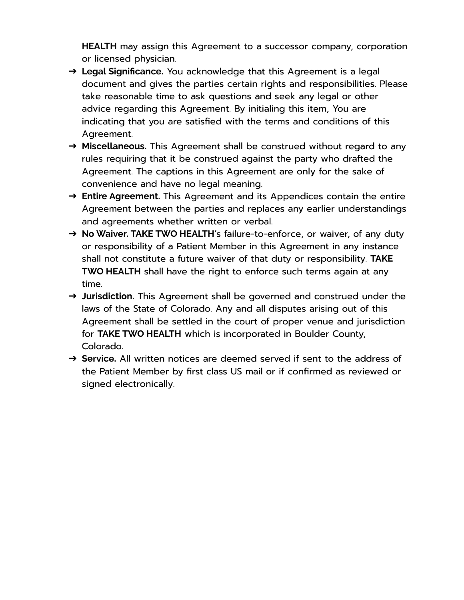**HEALTH** may assign this Agreement to a successor company, corporation or licensed physician.

- ➔ **Legal Significance.** You acknowledge that this Agreement is a legal document and gives the parties certain rights and responsibilities. Please take reasonable time to ask questions and seek any legal or other advice regarding this Agreement. By initialing this item, You are indicating that you are satisfied with the terms and conditions of this Agreement.
- ➔ **Miscellaneous.** This Agreement shall be construed without regard to any rules requiring that it be construed against the party who drafted the Agreement. The captions in this Agreement are only for the sake of convenience and have no legal meaning.
- ➔ **Entire Agreement.** This Agreement and its Appendices contain the entire Agreement between the parties and replaces any earlier understandings and agreements whether written or verbal.
- ➔ **No Waiver. TAKE TWO HEALTH**'s failure-to-enforce, or waiver, of any duty or responsibility of a Patient Member in this Agreement in any instance shall not constitute a future waiver of that duty or responsibility. **TAKE TWO HEALTH** shall have the right to enforce such terms again at any time.
- ➔ **Jurisdiction.** This Agreement shall be governed and construed under the laws of the State of Colorado. Any and all disputes arising out of this Agreement shall be settled in the court of proper venue and jurisdiction for **TAKE TWO HEALTH** which is incorporated in Boulder County, Colorado.
- ➔ **Service.** All written notices are deemed served if sent to the address of the Patient Member by first class US mail or if confirmed as reviewed or signed electronically.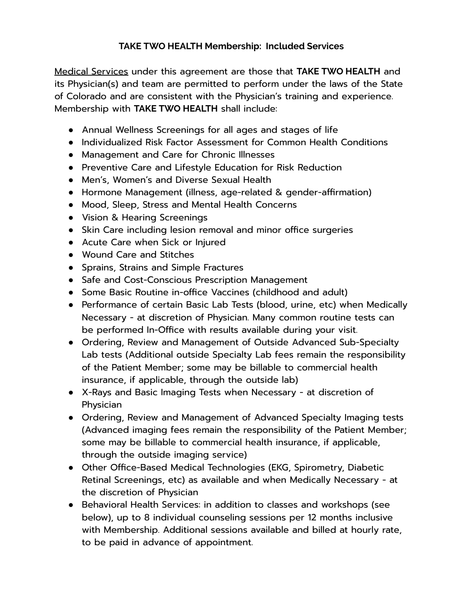## **TAKE TWO HEALTH Membership: Included Services**

Medical Services under this agreement are those that **TAKE TWO HEALTH** and its Physician(s) and team are permitted to perform under the laws of the State of Colorado and are consistent with the Physician's training and experience. Membership with **TAKE TWO HEALTH** shall include:

- Annual Wellness Screenings for all ages and stages of life
- Individualized Risk Factor Assessment for Common Health Conditions
- Management and Care for Chronic Illnesses
- Preventive Care and Lifestyle Education for Risk Reduction
- Men's, Women's and Diverse Sexual Health
- Hormone Management (illness, age-related & gender-affirmation)
- Mood, Sleep, Stress and Mental Health Concerns
- Vision & Hearing Screenings
- Skin Care including lesion removal and minor office surgeries
- Acute Care when Sick or Injured
- Wound Care and Stitches
- Sprains, Strains and Simple Fractures
- Safe and Cost-Conscious Prescription Management
- Some Basic Routine in-office Vaccines (childhood and adult)
- Performance of certain Basic Lab Tests (blood, urine, etc) when Medically Necessary - at discretion of Physician. Many common routine tests can be performed In-Office with results available during your visit.
- Ordering, Review and Management of Outside Advanced Sub-Specialty Lab tests (Additional outside Specialty Lab fees remain the responsibility of the Patient Member; some may be billable to commercial health insurance, if applicable, through the outside lab)
- X-Rays and Basic Imaging Tests when Necessary at discretion of Physician
- Ordering, Review and Management of Advanced Specialty Imaging tests (Advanced imaging fees remain the responsibility of the Patient Member; some may be billable to commercial health insurance, if applicable, through the outside imaging service)
- Other Office-Based Medical Technologies (EKG, Spirometry, Diabetic Retinal Screenings, etc) as available and when Medically Necessary - at the discretion of Physician
- Behavioral Health Services: in addition to classes and workshops (see below), up to 8 individual counseling sessions per 12 months inclusive with Membership. Additional sessions available and billed at hourly rate, to be paid in advance of appointment.